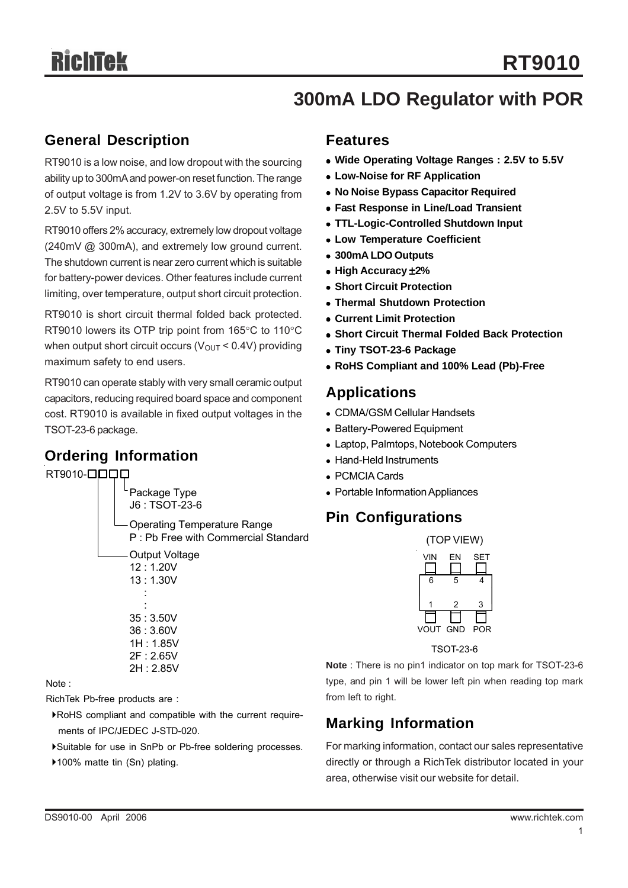# **300mA LDO Regulator with POR**

#### **General Description**

RT9010 is a low noise, and low dropout with the sourcing ability up to 300mA and power-on reset function. The range of output voltage is from 1.2V to 3.6V by operating from 2.5V to 5.5V input.

RT9010 offers 2% accuracy, extremely low dropout voltage (240mV @ 300mA), and extremely low ground current. The shutdown current is near zero current which is suitable for battery-power devices. Other features include current limiting, over temperature, output short circuit protection.

RT9010 is short circuit thermal folded back protected. RT9010 lowers its OTP trip point from 165°C to 110°C when output short circuit occurs ( $V_{\text{OUT}}$  < 0.4V) providing maximum safety to end users.

RT9010 can operate stably with very small ceramic output capacitors, reducing required board space and component cost. RT9010 is available in fixed output voltages in the TSOT-23-6 package.

#### **Ordering Information**

RT9010-**0000** 



Note :

RichTek Pb-free products are :

`RoHS compliant and compatible with the current require ments of IPC/JEDEC J-STD-020.

`Suitable for use in SnPb or Pb-free soldering processes.

▶100% matte tin (Sn) plating.

#### **Features**

- Wide Operating Voltage Ranges: 2.5V to 5.5V
- **Low-Noise for RF Application**
- <sup>z</sup> **No Noise Bypass Capacitor Required**
- **Fast Response in Line/Load Transient**
- <sup>z</sup> **TTL-Logic-Controlled Shutdown Input**
- **Low Temperature Coefficient**
- <sup>z</sup> **300mA LDO Outputs**
- <sup>z</sup> **High Accuracy** ±**2%**
- **Short Circuit Protection**
- **Thermal Shutdown Protection**
- <sup>z</sup> **Current Limit Protection**
- **Short Circuit Thermal Folded Back Protection**
- **Tiny TSOT-23-6 Package**
- <sup>z</sup> **RoHS Compliant and 100% Lead (Pb)-Free**

#### **Applications**

- CDMA/GSM Cellular Handsets
- Battery-Powered Equipment
- Laptop, Palmtops, Notebook Computers
- Hand-Held Instruments
- PCMCIA Cards
- Portable Information Appliances

#### **Pin Configurations**



TSOT-23-6

**Note** : There is no pin1 indicator on top mark for TSOT-23-6 type, and pin 1 will be lower left pin when reading top mark from left to right.

## **Marking Information**

For marking information, contact our sales representative directly or through a RichTek distributor located in your area, otherwise visit our website for detail.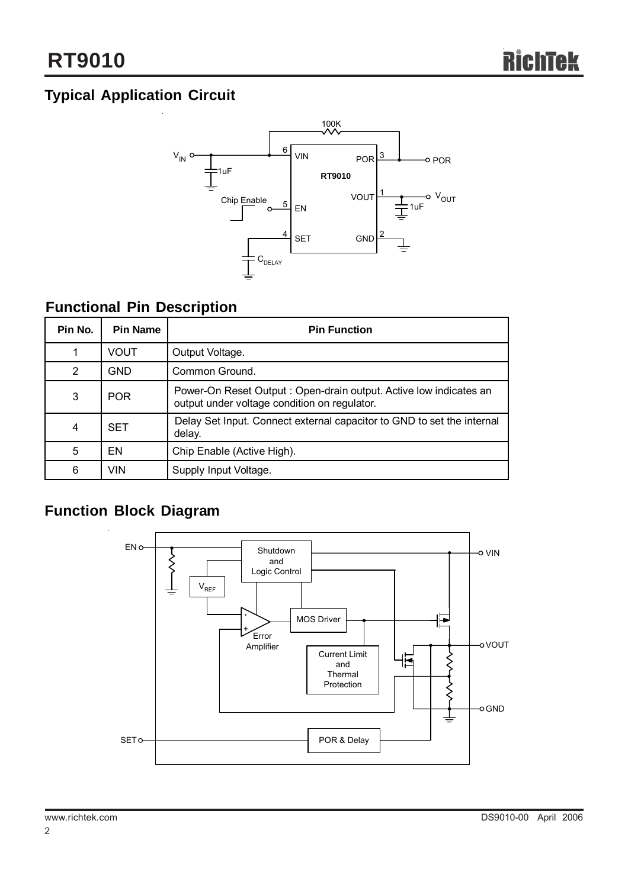# **Typical Application Circuit**



## **Functional Pin Description**

| Pin No.        | <b>Pin Name</b> | <b>Pin Function</b>                                                                                               |
|----------------|-----------------|-------------------------------------------------------------------------------------------------------------------|
|                | VOUT            | Output Voltage.                                                                                                   |
| 2              | GND             | Common Ground.                                                                                                    |
| 3              | <b>POR</b>      | Power-On Reset Output: Open-drain output. Active low indicates an<br>output under voltage condition on regulator. |
| $\overline{4}$ | <b>SET</b>      | Delay Set Input. Connect external capacitor to GND to set the internal<br>delay.                                  |
| 5              | EN              | Chip Enable (Active High).                                                                                        |
| 6              | VIN             | Supply Input Voltage.                                                                                             |

## **Function Block Diagram**

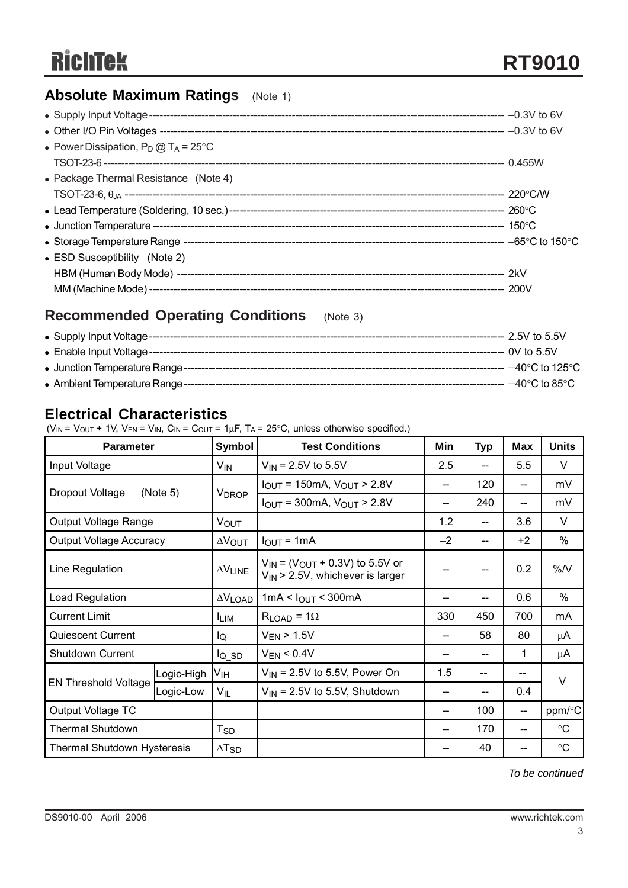## **Absolute Maximum Ratings** (Note 1)

| • Power Dissipation, $P_D @ T_A = 25^{\circ}C$ |  |
|------------------------------------------------|--|
|                                                |  |
| • Package Thermal Resistance (Note 4)          |  |
|                                                |  |
|                                                |  |
|                                                |  |
|                                                |  |
| • ESD Susceptibility (Note 2)                  |  |
|                                                |  |
|                                                |  |

#### **Recommended Operating Conditions** (Note 3)

| --- 2.5V to 5.5V                            |
|---------------------------------------------|
| $---$ 0V to 5.5V                            |
| $-40^{\circ}$ C to 125 $^{\circ}$ C $^{-1}$ |
| $-$ 40°C to 85°C                            |

#### **Electrical Characteristics**

( $V_{IN}$  =  $V_{OUT}$  + 1V,  $V_{EN}$  =  $V_{IN}$ ,  $C_{IN}$  =  $C_{OUT}$  = 1 $\mu$ F, T<sub>A</sub> = 25°C, unless otherwise specified.)

| <b>Parameter</b>               |            | Symbol                   | <b>Test Conditions</b>                                                            | Min  | <b>Typ</b> | <b>Max</b> | <b>Units</b>    |
|--------------------------------|------------|--------------------------|-----------------------------------------------------------------------------------|------|------------|------------|-----------------|
| Input Voltage                  |            | $V_{IN}$                 | $V_{\text{IN}}$ = 2.5V to 5.5V                                                    | 2.5  | --         | 5.5        | $\vee$          |
| (Note 5)                       |            |                          | $I_{\text{OUT}}$ = 150mA, $V_{\text{OUT}}$ > 2.8V                                 | --   | 120        | --         | mV              |
| Dropout Voltage                |            | <b>VDROP</b>             | $I_{OUT}$ = 300mA, $V_{OUT}$ > 2.8V                                               | --   | 240        | --         | mV              |
| Output Voltage Range           |            | <b>VOUT</b>              |                                                                                   | 1.2  |            | 3.6        | $\vee$          |
| <b>Output Voltage Accuracy</b> |            | $\Delta V_{\text{OUT}}$  | $I_{\text{OUT}} = 1 \text{mA}$                                                    | $-2$ |            | $+2$       | $\%$            |
| Line Regulation                |            | $\Delta V$ LINE          | $V_{IN}$ = ( $V_{OUT}$ + 0.3V) to 5.5V or<br>$V_{IN}$ > 2.5V, whichever is larger | --   |            | 0.2        | %N              |
| Load Regulation                |            | $\Delta V$ LOAD          | 1mA < $I_{OUT}$ < 300mA                                                           | --   |            | 0.6        | %               |
| <b>Current Limit</b>           |            | <b>ILIM</b>              | $R_{LOAD} = 1\Omega$                                                              | 330  | 450        | 700        | mA              |
| Quiescent Current              |            | lQ                       | $V_{EN}$ > 1.5V                                                                   | --   | 58         | 80         | μA              |
| Shutdown Current               |            | $I_{Q}$ <sub>SD</sub>    | $V_{EN}$ < 0.4V                                                                   | --   |            | 1          | $\mu$ A         |
|                                | Logic-High | Vıн                      | $V_{IN}$ = 2.5V to 5.5V, Power On                                                 | 1.5  | --         |            | $\vee$          |
| <b>EN Threshold Voltage</b>    | Logic-Low  | $V_{IL}$                 | $V_{\text{IN}}$ = 2.5V to 5.5V, Shutdown                                          | --   |            | 0.4        |                 |
| Output Voltage TC              |            |                          |                                                                                   | --   | 100        | --         | ppm/°C          |
| <b>Thermal Shutdown</b>        |            | $T_{SD}$                 |                                                                                   | --   | 170        | $-$        | $\circ$ C       |
| Thermal Shutdown Hysteresis    |            | $\Delta$ T <sub>SD</sub> |                                                                                   | --   | 40         |            | $\rm ^{\circ}C$ |

*To be continued*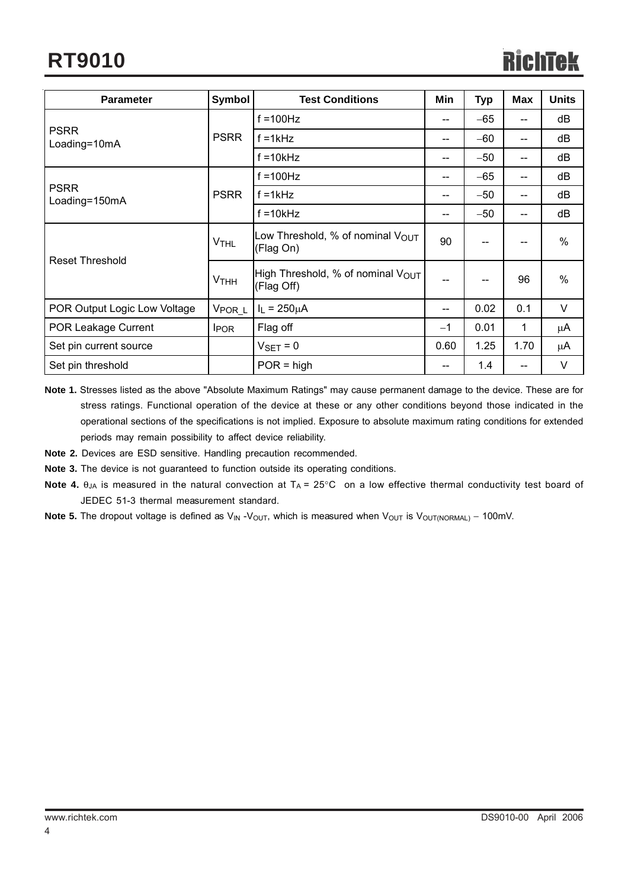# **RT9010**

| <b>Parameter</b>             | <b>Symbol</b>          | <b>Test Conditions</b>                                      | Min   | <b>Typ</b> | <b>Max</b> | <b>Units</b> |
|------------------------------|------------------------|-------------------------------------------------------------|-------|------------|------------|--------------|
|                              |                        | $f = 100$ Hz                                                | --    | $-65$      | $-$        | dB           |
| <b>PSRR</b><br>Loading=10mA  | <b>PSRR</b>            | $f = 1kHz$                                                  | --    | $-60$      | $-$        | dB           |
|                              |                        | $f = 10kHz$                                                 | --    | $-50$      | $-$        | dB           |
|                              |                        | $f = 100$ Hz                                                | --    | $-65$      | $-$        | dB           |
| <b>PSRR</b><br>Loading=150mA | <b>PSRR</b>            | $f = 1kHz$                                                  | --    | $-50$      | $-$        | dB           |
|                              |                        | $f = 10k$ Hz                                                | $- -$ | $-50$      | $-$        | dB           |
|                              | <b>V<sub>THL</sub></b> | Low Threshold, % of nominal $V_{\text{OUT}}$<br>(Flag On)   | 90    |            |            | %            |
| <b>Reset Threshold</b>       | <b>V<sub>THH</sub></b> | High Threshold, % of nominal $V_{\text{OUT}}$<br>(Flag Off) | $- -$ |            | 96         | %            |
| POR Output Logic Low Voltage | V <sub>POR_L</sub>     | $I_L = 250 \mu A$                                           | --    | 0.02       | 0.1        | V            |
| POR Leakage Current          | <b>I</b> POR           | Flag off                                                    | $-1$  | 0.01       | 1          | μA           |
| Set pin current source       |                        | $V_{\text{SET}} = 0$                                        | 0.60  | 1.25       | 1.70       | μA           |
| Set pin threshold            |                        | $POR = high$                                                | $- -$ | 1.4        | --         | V            |

**Note 1.** Stresses listed as the above "Absolute Maximum Ratings" may cause permanent damage to the device. These are for stress ratings. Functional operation of the device at these or any other conditions beyond those indicated in the operational sections of the specifications is not implied. Exposure to absolute maximum rating conditions for extended periods may remain possibility to affect device reliability.

**Note 2.** Devices are ESD sensitive. Handling precaution recommended.

**Note 3.** The device is not guaranteed to function outside its operating conditions.

- **Note 4.**  $\theta_{JA}$  is measured in the natural convection at  $T_A = 25^{\circ}$  on a low effective thermal conductivity test board of JEDEC 51-3 thermal measurement standard.
- Note 5. The dropout voltage is defined as V<sub>IN</sub> -V<sub>OUT</sub>, which is measured when V<sub>OUT</sub> is V<sub>OUT(NORMAL)</sub> 100mV.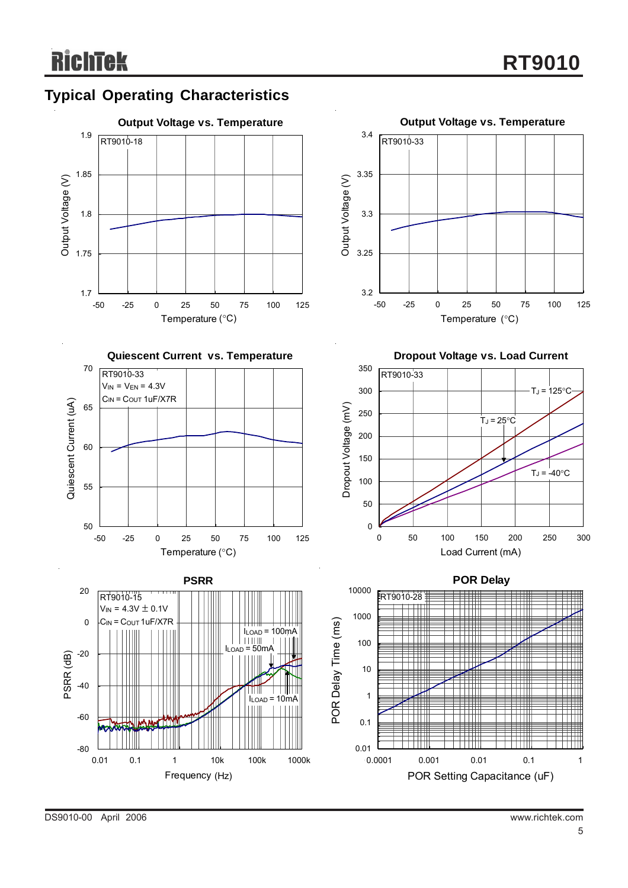

DS9010-00 April 2006 www.richtek.com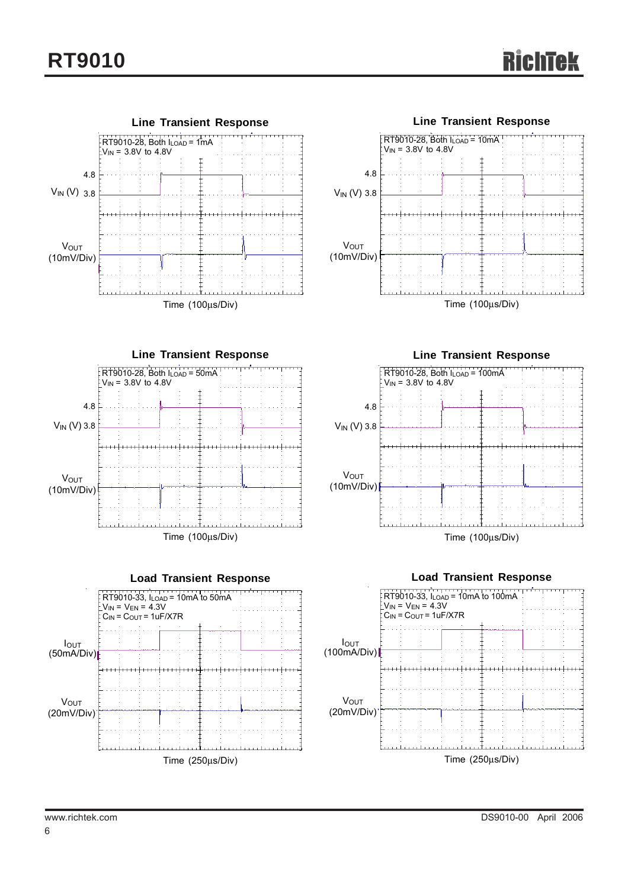

and a straight

Time (250μs/Div)

Time (250μs/Div)

<u>Emministration in a transformation in a t</u>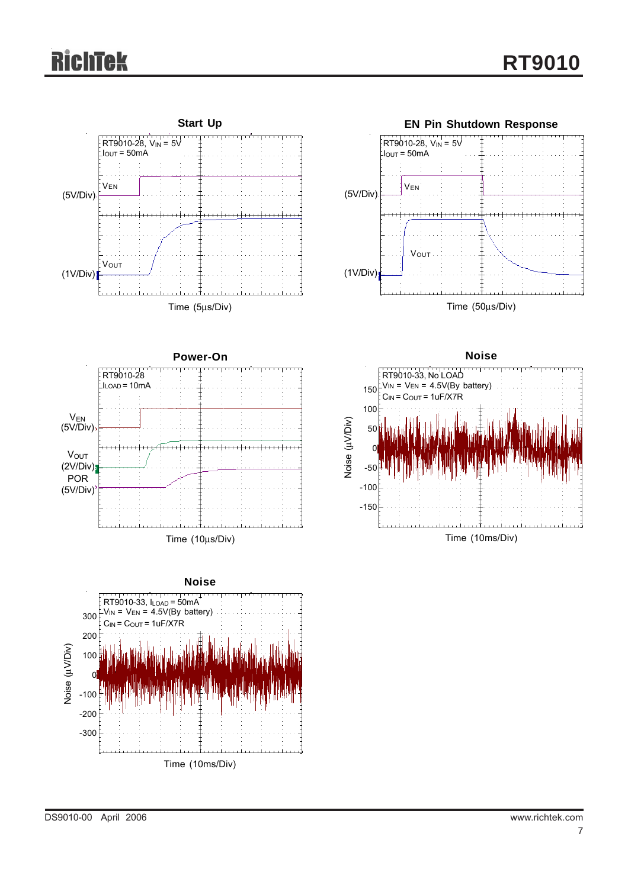# **Tek**



Time (10ms/Div)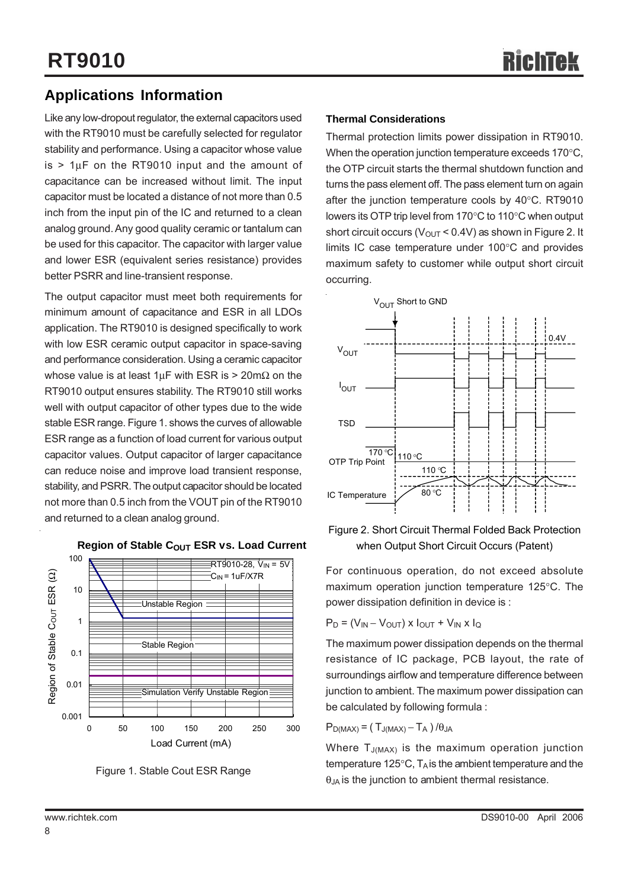### **Applications Information**

Like any low-dropout regulator, the external capacitors used with the RT9010 must be carefully selected for regulator stability and performance. Using a capacitor whose value is  $> 1\mu$ F on the RT9010 input and the amount of capacitance can be increased without limit. The input capacitor must be located a distance of not more than 0.5 inch from the input pin of the IC and returned to a clean analog ground. Any good quality ceramic or tantalum can be used for this capacitor. The capacitor with larger value and lower ESR (equivalent series resistance) provides better PSRR and line-transient response.

The output capacitor must meet both requirements for minimum amount of capacitance and ESR in all LDOs application. The RT9010 is designed specifically to work with low ESR ceramic output capacitor in space-saving and performance consideration. Using a ceramic capacitor whose value is at least  $1 \mu$ F with ESR is > 20m $\Omega$  on the RT9010 output ensures stability. The RT9010 still works well with output capacitor of other types due to the wide stable ESR range. Figure 1. shows the curves of allowable ESR range as a function of load current for various output capacitor values. Output capacitor of larger capacitance can reduce noise and improve load transient response, stability, and PSRR. The output capacitor should be located not more than 0.5 inch from the VOUT pin of the RT9010 and returned to a clean analog ground.



**Region of Stable COUT ESR vs. Load Current** 

Figure 1. Stable Cout ESR Range

#### **Thermal Considerations**

Thermal protection limits power dissipation in RT9010. When the operation junction temperature exceeds 170°C, the OTP circuit starts the thermal shutdown function and turns the pass element off. The pass element turn on again after the junction temperature cools by 40°C. RT9010 lowers its OTP trip level from 170°C to 110°C when output short circuit occurs ( $V_{OUT}$  < 0.4V) as shown in Figure 2. It limits IC case temperature under 100°C and provides maximum safety to customer while output short circuit occurring.



Figure 2. Short Circuit Thermal Folded Back Protection when Output Short Circuit Occurs (Patent)

For continuous operation, do not exceed absolute maximum operation junction temperature 125°C. The power dissipation definition in device is :

 $P_D = (V_{IN} - V_{OUT}) \times I_{OUT} + V_{IN} \times I_{Q}$ 

The maximum power dissipation depends on the thermal resistance of IC package, PCB layout, the rate of surroundings airflow and temperature difference between junction to ambient. The maximum power dissipation can be calculated by following formula :

$$
P_{D(MAX)} = (T_{J(MAX)} - T_A) / \theta_{JA}
$$

Where  $T_{J(MAX)}$  is the maximum operation junction temperature 125 $\degree$ C, T<sub>A</sub> is the ambient temperature and the  $\theta_{JA}$  is the junction to ambient thermal resistance.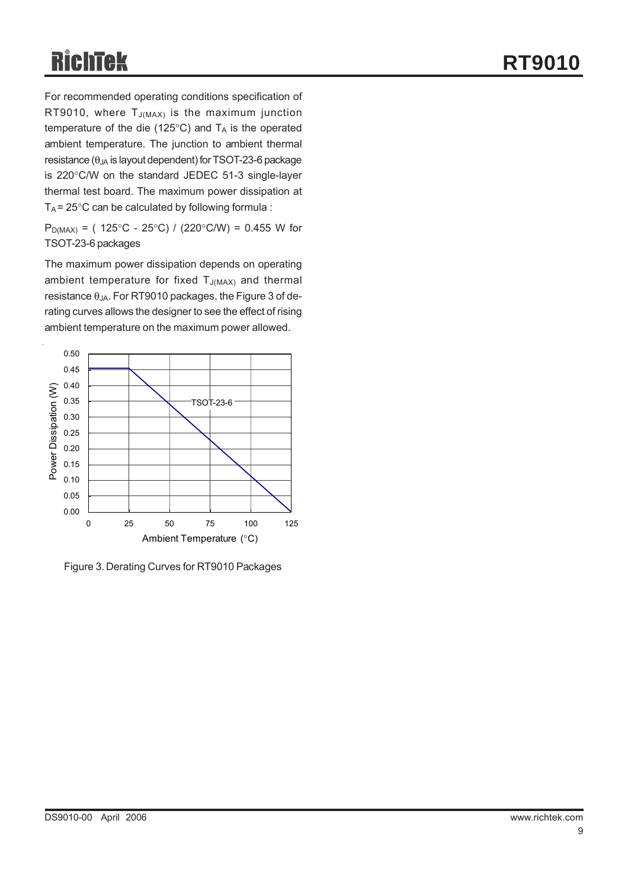For recommended operating conditions specification of RT9010, where  $T_{J(MAX)}$  is the maximum junction temperature of the die (125 $^{\circ}$ C) and  $T_A$  is the operated ambient temperature. The junction to ambient thermal resistance ( $\theta_{JA}$  is layout dependent) for TSOT-23-6 package is 220°C/W on the standard JEDEC 51-3 single-layer thermal test board. The maximum power dissipation at  $T_A$  = 25°C can be calculated by following formula :

 $P_{D(MAX)} = (125^{\circ}C - 25^{\circ}C) / (220^{\circ}C/W) = 0.455$  W for TSOT-23-6 packages

The maximum power dissipation depends on operating ambient temperature for fixed  $T_{J(MAX)}$  and thermal resistance  $\theta_{JA}$ . For RT9010 packages, the Figure 3 of derating curves allows the designer to see the effect of rising ambient temperature on the maximum power allowed.



Figure 3. Derating Curves for RT9010 Packages